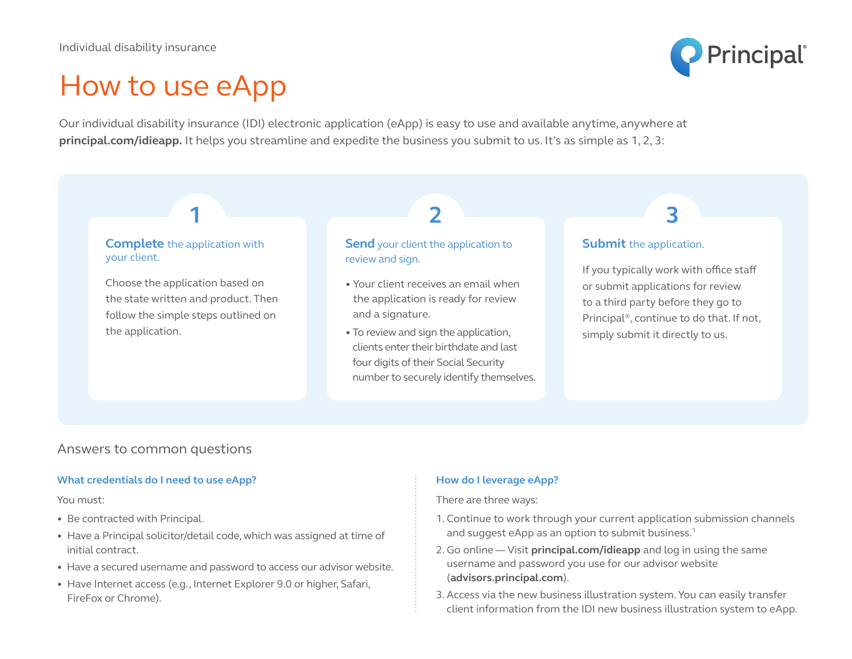

# How to use eApp

Our individual disability insurance (IDI) electronic application (eApp) is easy to use and available anytime, anywhere at **principal.com/idieapp.** It helps you streamline and expedite the business you submit to us. It's as simple as 1, 2, 3:

#### **Complete** the application with your client.

**1**

Choose the application based on the state written and product. Then follow the simple steps outlined on the application.

## **Send** your client the application to review and sign.

- Your client receives an email when the application is ready for review and a signature.
- To review and sign the application, clients enter their birthdate and last four digits of their Social Security number to securely identify themselves.

# **Submit** the application.

**2 3**

If you typically work with office staff or submit applications for review to a third party before they go to Principal®, continue to do that. If not, simply submit it directly to us.

# Answers to common questions

#### **What credentials do I need to use eApp?**

#### You must:

- Be contracted with Principal.
- Have a Principal solicitor/detail code, which was assigned at time of initial contract.
- Have a secured username and password to access our advisor website.
- Have Internet access (e.g., Internet Explorer 9.0 or higher, Safari, FireFox or Chrome).

### **How do I leverage eApp?**

There are three ways:

- 1. Continue to work through your current application submission channels and suggest eApp as an option to submit business.<sup>1</sup>
- 2. Go online Visit **principal.com/idieapp** and log in using the same username and password you use for our advisor website (**advisors.principal.com**).
- 3. Access via the new business illustration system. You can easily transfer client information from the IDI new business illustration system to eApp.